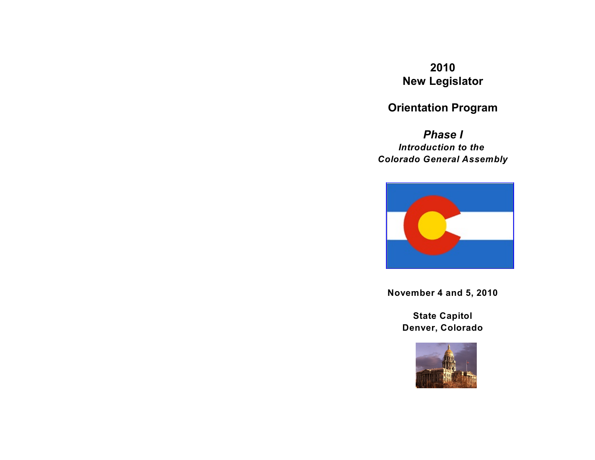# **2010 New Legislator**

# **Orientation Program**

*Phase I Introduction to the Colorado General Assembly*



**November 4 and 5, 2010**

**State Capitol Denver, Colorado**